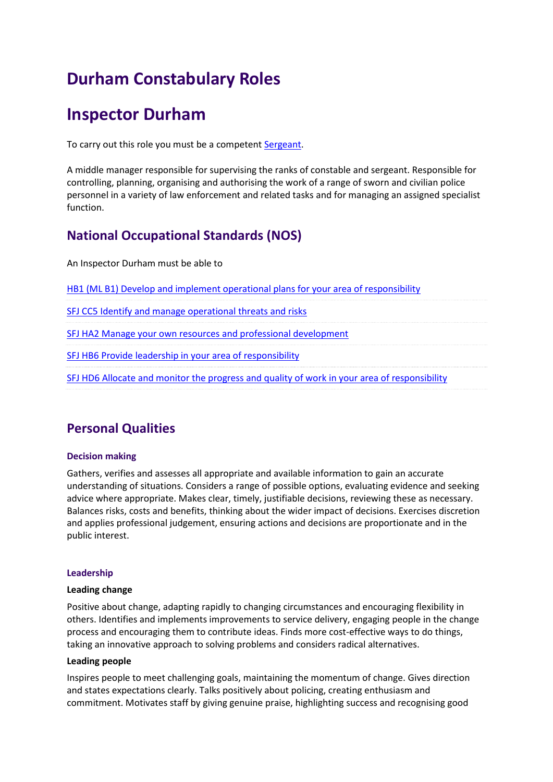# **Durham Constabulary Roles**

## **Inspector Durham**

To carry out this role you must be a competen[t Sergeant.](/myppf/browseroles/?o_id=13&r_id=174)

A middle manager responsible for supervising the ranks of constable and sergeant. Responsible for controlling, planning, organising and authorising the work of a range of sworn and civilian police personnel in a variety of law enforcement and related tasks and for managing an assigned specialist function.

## **National Occupational Standards (NOS)**

An Inspector Durham must be able to

[HB1 \(ML B1\) Develop and implement operational plans for your area of responsibility](http://www.skillsforjustice-nosfinder.com/nos/doc/HB1.doc)

[SFJ CC5 Identify and manage operational threats and risks](http://www.skillsforjustice-nosfinder.com/nos/doc/SFJCC5.docx)

[SFJ HA2 Manage your own resources and professional development](http://www.skillsforjustice-nosfinder.com/nos/doc/SFJHA2.docx)

[SFJ HB6 Provide leadership in your area of responsibility](http://www.skillsforjustice-nosfinder.com/nos/doc/SFJHB6.docx)

[SFJ HD6 Allocate and monitor the progress and quality of work in your area of responsibility](http://www.skillsforjustice-nosfinder.com/nos/doc/SFJHD6.docx)

## **Personal Qualities**

#### **Decision making**

Gathers, verifies and assesses all appropriate and available information to gain an accurate understanding of situations. Considers a range of possible options, evaluating evidence and seeking advice where appropriate. Makes clear, timely, justifiable decisions, reviewing these as necessary. Balances risks, costs and benefits, thinking about the wider impact of decisions. Exercises discretion and applies professional judgement, ensuring actions and decisions are proportionate and in the public interest.

#### **Leadership**

#### **Leading change**

Positive about change, adapting rapidly to changing circumstances and encouraging flexibility in others. Identifies and implements improvements to service delivery, engaging people in the change process and encouraging them to contribute ideas. Finds more cost-effective ways to do things, taking an innovative approach to solving problems and considers radical alternatives.

#### **Leading people**

Inspires people to meet challenging goals, maintaining the momentum of change. Gives direction and states expectations clearly. Talks positively about policing, creating enthusiasm and commitment. Motivates staff by giving genuine praise, highlighting success and recognising good